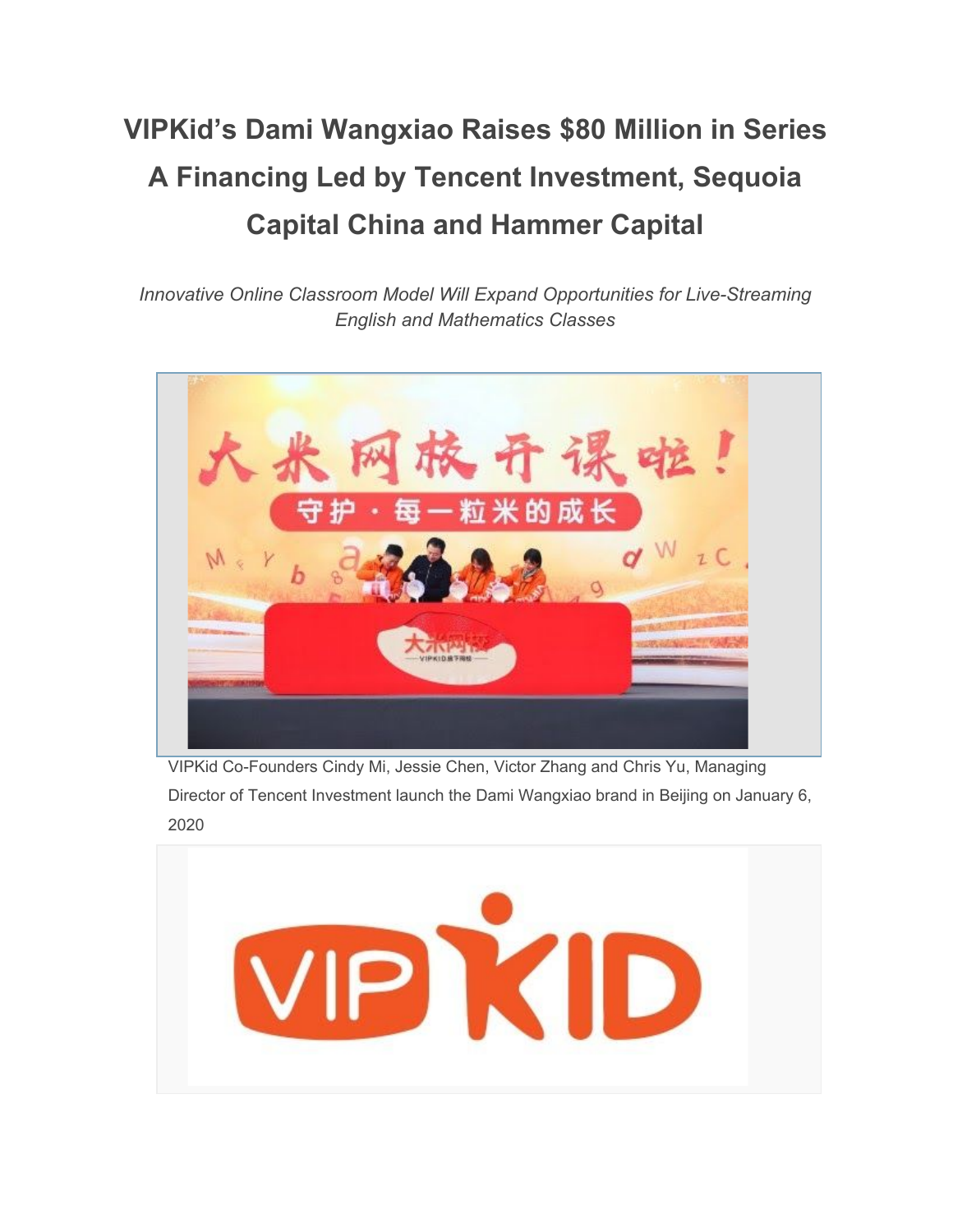# **VIPKid's Dami Wangxiao Raises \$80 Million in Series A Financing Led by Tencent Investment, Sequoia Capital China and Hammer Capital**

*Innovative Online Classroom Model Will Expand Opportunities for Live-Streaming English and Mathematics Classes*



VIPKid Co-Founders Cindy Mi, Jessie Chen, Victor Zhang and Chris Yu, Managing Director of Tencent Investment launch the Dami Wangxiao brand in Beijing on January 6, 2020

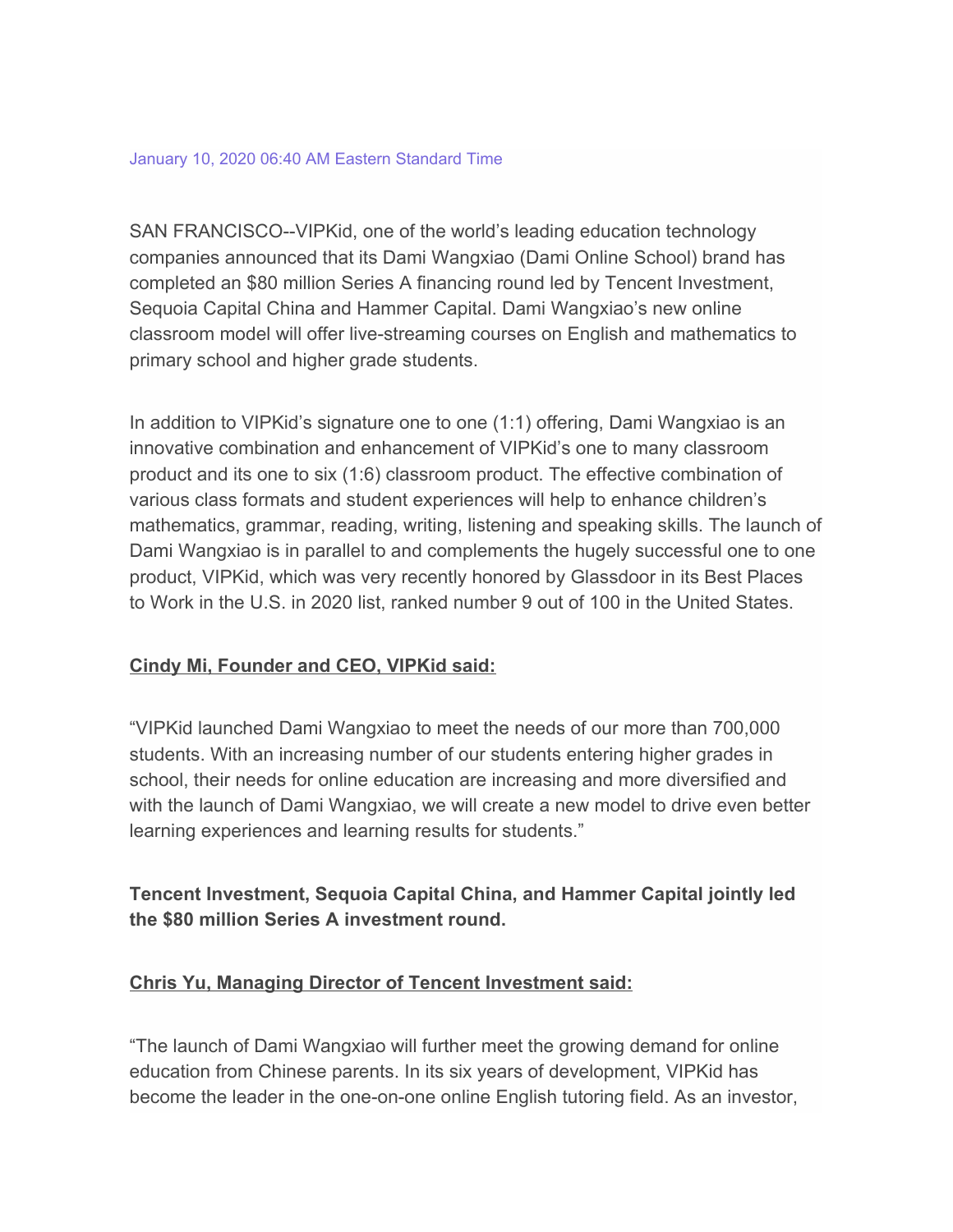SAN FRANCISCO--VIPKid, one of the world's leading education technology companies announced that its Dami Wangxiao (Dami Online School) brand has completed an \$80 million Series A financing round led by Tencent Investment, Sequoia Capital China and Hammer Capital. Dami Wangxiao's new online classroom model will offer live-streaming courses on English and mathematics to primary school and higher grade students.

In addition to VIPKid's signature one to one (1:1) offering, Dami Wangxiao is an innovative combination and enhancement of VIPKid's one to many classroom product and its one to six (1:6) classroom product. The effective combination of various class formats and student experiences will help to enhance children's mathematics, grammar, reading, writing, listening and speaking skills. The launch of Dami Wangxiao is in parallel to and complements the hugely successful one to one product, VIPKid, which was very recently honored by Glassdoor in its Best Places to Work in the U.S. in 2020 list, ranked number 9 out of 100 in the United States.

#### **Cindy Mi, Founder and CEO, VIPKid said:**

"VIPKid launched Dami Wangxiao to meet the needs of our more than 700,000 students. With an increasing number of our students entering higher grades in school, their needs for online education are increasing and more diversified and with the launch of Dami Wangxiao, we will create a new model to drive even better learning experiences and learning results for students."

**Tencent Investment, Sequoia Capital China, and Hammer Capital jointly led the \$80 million Series A investment round.**

#### **Chris Yu, Managing Director of Tencent Investment said:**

"The launch of Dami Wangxiao will further meet the growing demand for online education from Chinese parents. In its six years of development, VIPKid has become the leader in the one-on-one online English tutoring field. As an investor,